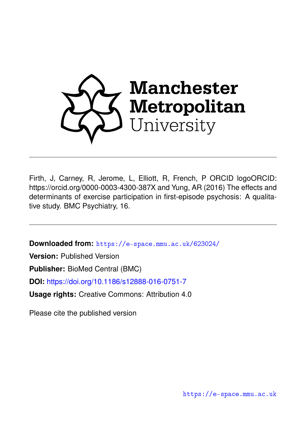

Firth, J, Carney, R, Jerome, L, Elliott, R, French, P ORCID logoORCID: https://orcid.org/0000-0003-4300-387X and Yung, AR (2016) The effects and determinants of exercise participation in first-episode psychosis: A qualitative study. BMC Psychiatry, 16.

**Downloaded from:** <https://e-space.mmu.ac.uk/623024/>

**Version:** Published Version

**Publisher:** BioMed Central (BMC)

**DOI:** <https://doi.org/10.1186/s12888-016-0751-7>

**Usage rights:** Creative Commons: Attribution 4.0

Please cite the published version

<https://e-space.mmu.ac.uk>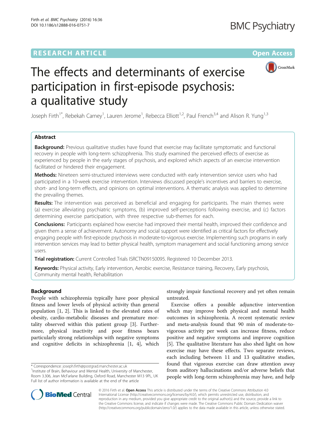# **RESEARCH ARTICLE External Structure Community Community Community Community Community Community Community Community**



# The effects and determinants of exercise participation in first-episode psychosis: a qualitative study

Joseph Firth<sup>1\*</sup>, Rebekah Carney<sup>1</sup>, Lauren Jerome<sup>1</sup>, Rebecca Elliott<sup>1,2</sup>, Paul French<sup>3,4</sup> and Alison R. Yung<sup>1,3</sup>

# Abstract

**Background:** Previous qualitative studies have found that exercise may facilitate symptomatic and functional recovery in people with long-term schizophrenia. This study examined the perceived effects of exercise as experienced by people in the early stages of psychosis, and explored which aspects of an exercise intervention facilitated or hindered their engagement.

Methods: Nineteen semi-structured interviews were conducted with early intervention service users who had participated in a 10-week exercise intervention. Interviews discussed people's incentives and barriers to exercise, short- and long-term effects, and opinions on optimal interventions. A thematic analysis was applied to determine the prevailing themes.

Results: The intervention was perceived as beneficial and engaging for participants. The main themes were (a) exercise alleviating psychiatric symptoms, (b) improved self-perceptions following exercise, and (c) factors determining exercise participation, with three respective sub-themes for each.

**Conclusions:** Participants explained how exercise had improved their mental health, improved their confidence and given them a sense of achievement. Autonomy and social support were identified as critical factors for effectively engaging people with first-episode psychosis in moderate-to-vigorous exercise. Implementing such programs in early intervention services may lead to better physical health, symptom management and social functioning among service users.

Trial registration: Current Controlled Trials [ISRCTN09150095](http://www.isrctn.com/ISRCTN09150095). Registered 10 December 2013.

Keywords: Physical activity, Early intervention, Aerobic exercise, Resistance training, Recovery, Early psychosis, Community mental health, Rehabilitation

# Background

People with schizophrenia typically have poor physical fitness and lower levels of physical activity than general population [[1, 2\]](#page-9-0). This is linked to the elevated rates of obesity, cardio-metabolic diseases and premature mortality observed within this patient group [\[3\]](#page-9-0). Furthermore, physical inactivity and poor fitness bears particularly strong relationships with negative symptoms and cognitive deficits in schizophrenia [\[1](#page-9-0), [4\]](#page-9-0), which

\* Correspondence: [joseph.firth@postgrad.manchester.ac.uk](mailto:joseph.firth@postgrad.manchester.ac.uk) <sup>1</sup>

<sup>1</sup>Institute of Brain, Behaviour and Mental Health, University of Manchester, Room 3.306, Jean McFarlane Building, Oxford Road, Manchester M13 9PL, UK Full list of author information is available at the end of the article

strongly impair functional recovery and yet often remain untreated.

Exercise offers a possible adjunctive intervention which may improve both physical and mental health outcomes in schizophrenia. A recent systematic review and meta-analysis found that 90 min of moderate-tovigorous activity per week can increase fitness, reduce positive and negative symptoms and improve cognition [[5\]](#page-9-0). The qualitative literature has also shed light on how exercise may have these effects. Two separate reviews, each including between 11 and 13 qualitative studies, found that vigorous exercise can draw attention away from auditory hallucinations and/or adverse beliefs that people with long-term schizophrenia may have, and help



© 2016 Firth et al. Open Access This article is distributed under the terms of the Creative Commons Attribution 4.0 International License [\(http://creativecommons.org/licenses/by/4.0/](http://creativecommons.org/licenses/by/4.0/)), which permits unrestricted use, distribution, and reproduction in any medium, provided you give appropriate credit to the original author(s) and the source, provide a link to the Creative Commons license, and indicate if changes were made. The Creative Commons Public Domain Dedication waiver [\(http://creativecommons.org/publicdomain/zero/1.0/](http://creativecommons.org/publicdomain/zero/1.0/)) applies to the data made available in this article, unless otherwise stated.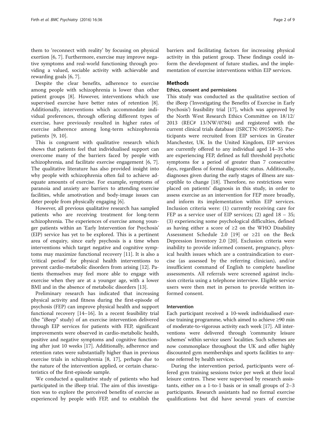them to 'reconnect with reality' by focusing on physical exertion [\[6](#page-9-0), [7](#page-9-0)]. Furthermore, exercise may improve negative symptoms and real-world functioning through providing a valued, sociable activity with achievable and rewarding goals [\[6](#page-9-0), [7](#page-9-0)].

Despite the clear benefits, adherence to exercise among people with schizophrenia is lower than other patient groups [[8](#page-9-0)]. However, interventions which use supervised exercise have better rates of retention [\[8](#page-9-0)]. Additionally, interventions which accommodate individual preferences, through offering different types of exercise, have previously resulted in higher rates of exercise adherence among long-term schizophrenia patients [[9, 10](#page-9-0)].

This is congruent with qualitative research which shows that patients feel that individualised support can overcome many of the barriers faced by people with schizophrenia, and facilitate exercise engagement [\[6](#page-9-0), [7](#page-9-0)]. The qualitative literature has also provided insight into why people with schizophrenia often fail to achieve adequate amounts of exercise. For example, symptoms of paranoia and anxiety are barriers to attending exercise facilities, while amotivation and body-image issues can deter people from physically engaging [\[6\]](#page-9-0).

However, all previous qualitative research has sampled patients who are receiving treatment for long-term schizophrenia. The experiences of exercise among younger patients within an 'Early Intervention for Psychosis' (EIP) service has yet to be explored. This is a pertinent area of enquiry, since early psychosis is a time when interventions which target negative and cognitive symptoms may maximize functional recovery [\[11\]](#page-9-0). It is also a 'critical period' for physical health interventions to prevent cardio-metabolic disorders from arising [[12\]](#page-9-0). Patients themselves may feel more able to engage with exercise when they are at a younger age, with a lower BMI and in the absence of metabolic disorders [[13](#page-9-0)].

Preliminary research has indicated that increasing physical activity and fitness during the first-episode of psychosis (FEP) can improve physical health and support functional recovery [\[14](#page-9-0)–[16](#page-9-0)]. In a recent feasibility trial (the "iBeep" study) of an exercise intervention delivered through EIP services for patients with FEP, significant improvements were observed in cardio-metabolic health, positive and negative symptoms and cognitive functioning after just 10 weeks [[17](#page-9-0)]. Additionally, adherence and retention rates were substantially higher than in previous exercise trials in schizophrenia [[8, 17](#page-9-0)], perhaps due to the nature of the intervention applied, or certain characteristics of the first-episode sample.

We conducted a qualitative study of patients who had participated in the iBeep trial. The aim of this investigation was to explore the perceived benefits of exercise as experienced by people with FEP, and to establish the barriers and facilitating factors for increasing physical activity in this patient group. These findings could inform the development of future studies, and the implementation of exercise interventions within EIP services.

# **Methods**

# Ethics, consent and permissions

This study was conducted as the qualitative section of the iBeep ('Investigating the Benefits of Exercise in Early Psychosis') feasibility trial [\[17](#page-9-0)], which was approved by the North West Research Ethics Committee on 18/12/ 2013 (REC# 13/NW/0784) and registered with the current clinical trials database (ISRCTN: 09150095). Participants were recruited from EIP services in Greater Manchester, UK. In the United Kingdom, EIP services are currently offered to any individual aged 14–35 who are experiencing FEP, defined as full threshold psychotic symptoms for a period of greater than 7 consecutive days, regardless of formal diagnostic status. Additionally, diagnoses given during the early stages of illness are susceptible to change [[18\]](#page-9-0). Therefore, no restrictions were placed on patients' diagnosis in this study, in order to assess exercise as an intervention for FEP more broadly, and inform its implementation within EIP services. Inclusion criteria were: (1) currently receiving care for FEP as a service user of EIP services; (2) aged 18 – 35; (3) experiencing some psychological difficulties, defined as having either a score of  $\geq 2$  on the WHO Disability Assessment Schedule 2.0 [\[19](#page-9-0)] or ≥21 on the Beck Depression Inventory 2.0 [\[20](#page-9-0)]. Exclusion criteria were inability to provide informed consent, pregnancy, physical health issues which are a contraindication to exercise (as assessed by the referring clinician), and/or insufficient command of English to complete baseline assessments. All referrals were screened against inclusion criteria using a telephone interview. Eligible service users were then met in person to provide written informed consent.

#### Intervention

Each participant received a 10-week individualised exercise training programme, which aimed to achieve ≥90 min of moderate-to-vigorous activity each week [\[17\]](#page-9-0). All interventions were delivered through 'community leisure schemes' within service users' localities. Such schemes are now commonplace throughout the UK and offer highly discounted gym memberships and sports facilities to anyone referred by health services.

During the intervention period, participants were offered gym training sessions twice per week at their local leisure centres. These were supervised by research assistants, either on a 1-to-1 basis or in small groups of 2–3 participants. Research assistants had no formal exercise qualifications but did have several years of exercise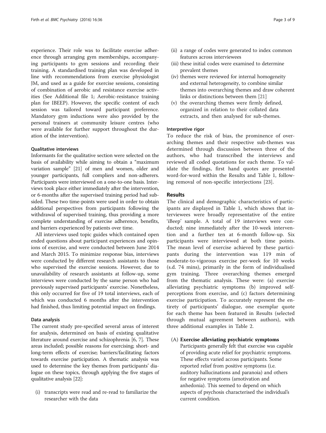experience. Their role was to facilitate exercise adherence through arranging gym memberships, accompanying participants to gym sessions and recording their training. A standardised training plan was developed in line with recommendations from exercise physiologist JM, and used as a guide for exercise sessions, consisting of combination of aerobic and resistance exercise activities (See Additional file [1;](#page-8-0) Aerobic-resistance training plan for IBEEP). However, the specific content of each session was tailored toward participant preference. Mandatory gym inductions were also provided by the personal trainers at community leisure centres (who were available for further support throughout the duration of the intervention).

### Qualitative interviews

Informants for the qualitative section were selected on the basis of availability while aiming to obtain a "maximum variation sample" [\[21\]](#page-9-0) of men and women, older and younger participants, full compliers and non-adherers. Participants were interviewed on a one-to-one basis. Interviews took place either immediately after the intervention, or 6-months after the supervised training period had subsided. These two time-points were used in order to obtain additional perspectives from participants following the withdrawal of supervised training, thus providing a more complete understanding of exercise adherence, benefits, and barriers experienced by patients over time.

All interviews used topic guides which contained open ended questions about participant experiences and opinions of exercise, and were conducted between June 2014 and March 2015. To minimize response bias, interviews were conducted by different research assistants to those who supervised the exercise sessions. However, due to unavailability of research assistants at follow-up, some interviews were conducted by the same person who had previously supervised participants' exercise. Nonetheless, this only occurred for five of 19 total interviews, each of which was conducted 6 months after the intervention had finished, thus limiting potential impact on findings.

#### Data analysis

The current study pre-specified several areas of interest for analysis, determined on basis of existing qualitative literature around exercise and schizophrenia [\[6](#page-9-0), [7](#page-9-0)]. These areas included; possible reasons for exercising; short- and long-term effects of exercise; barriers/facilitating factors towards exercise participation. A thematic analysis was used to determine the key themes from participants' dialogue on these topics, through applying the five stages of qualitative analysis [[22](#page-9-0)]:

(i) transcripts were read and re-read to familiarize the researcher with the data

- (ii) a range of codes were generated to index common features across interviewees
- (iii) these initial codes were examined to determine prevalent themes
- (iv) themes were reviewed for internal homogeneity and external heterogeneity, to combine similar themes into overarching themes and draw coherent links or distinctions between them [[21\]](#page-9-0)
- (v) the overarching themes were firmly defined, organized in relation to their collated data extracts, and then analysed for sub-themes.

#### Interpretive rigor

To reduce the risk of bias, the prominence of overarching themes and their respective sub-themes was determined through discussion between three of the authors, who had transcribed the interviews and reviewed all coded quotations for each theme. To validate the findings, first hand quotes are presented word-for-word within the Results and Table [1](#page-4-0), following removal of non-specific interjections [[23\]](#page-9-0).

## Results

The clinical and demographic characteristics of participants are displayed in Table [1,](#page-4-0) which shows that interviewees were broadly representative of the entire 'iBeep' sample. A total of 19 interviews were conducted; nine immediately after the 10-week intervention and a further ten at 6-month follow-up. Six participants were interviewed at both time points. The mean level of exercise achieved by these participants during the intervention was 119 min of moderate-to-vigorous exercise per-week for 10 weeks (s.d. 74 mins), primarily in the form of individualised gym training. Three overarching themes emerged from the thematic analysis. These were: (a) exercise alleviating psychiatric symptoms (b) improved selfperceptions from exercise, and (c) factors determining exercise participation. To accurately represent the entirety of participants' dialogue, one exemplar quote for each theme has been featured in Results (selected through mutual agreement between authors), with three additional examples in Table [2](#page-5-0).

# (A) Exercise alleviating psychiatric symptoms

Participants generally felt that exercise was capable of providing acute relief for psychiatric symptoms. These effects varied across participants. Some reported relief from positive symptoms (i.e. auditory hallucinations and paranoia) and others for negative symptoms (amotivation and anhedonia). This seemed to depend on which aspects of psychosis characterised the individual's current condition.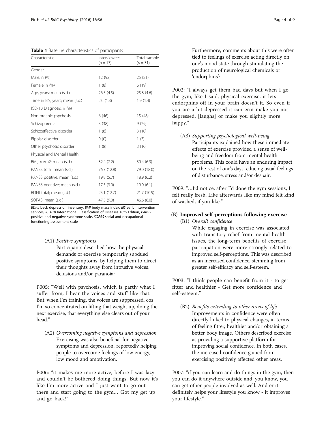<span id="page-4-0"></span>Table 1 Baseline characteristics of participants

| Characteristic                  | Interviewees<br>$(n = 13)$ | Total sample<br>$(n=31)$ |
|---------------------------------|----------------------------|--------------------------|
| Gender                          |                            |                          |
| Male; n (%)                     | 12 (92)                    | 25 (81)                  |
| Female; n (%)                   | 1(8)                       | 6(19)                    |
| Age, years; mean (s.d.)         | 26.5(4.5)                  | 25.8 (4.6)               |
| Time in EIS, years; mean (s.d.) | 2.0(1.3)                   | 1.9(1.4)                 |
| ICD-10 Diagnosis; n (%)         |                            |                          |
| Non organic psychosis           | 6(46)                      | 15 (48)                  |
| Schizophrenia                   | 5(38)                      | 9(29)                    |
| Schizoaffective disorder        | 1(8)                       | 3(10)                    |
| Bipolar disorder                | 0(0)                       | 1(3)                     |
| Other psychotic disorder        | 1(8)                       | 3(10)                    |
| Physical and Mental Health      |                            |                          |
| BMI, kg/m2: mean (s.d.)         | 32.4(7.2)                  | 30.4(6.9)                |
| PANSS total; mean (s.d.)        | 76.7 (12.8)                | 79.0 (18.0)              |
| PANSS positive; mean (s.d.)     | 19.8 (5.7)                 | 18.9(6.2)                |
| PANSS negative; mean (s.d.)     | 17.5(3.0)                  | 19.0(6.1)                |
| BDI-II total; mean (s.d.)       | 25.1(12.7)                 | 21.7 (10.9)              |
| SOFAS; mean (s.d.)              | 47.5 (9.0)                 | 46.6 (8.0)               |

BDI-II beck depression inventory, BMI body mass index, EIS early intervention services, ICD-10 International Classification of Diseases 10th Edition, PANSS positive and negative syndrome scale, SOFAS social and occupational functioning assessment scale

# (A1) Positive symptoms

Participants described how the physical demands of exercise temporarily subdued positive symptoms, by helping them to direct their thoughts away from intrusive voices, delusions and/or paranoia:

P005: "Well with psychosis, which is partly what I suffer from, I hear the voices and stuff like that. But when I'm training, the voices are suppressed, cos I'm so concentrated on lifting that weight up, doing the next exercise, that everything else clears out of your head."

(A2) Overcoming negative symptoms and depression Exercising was also beneficial for negative symptoms and depression, reportedly helping people to overcome feelings of low energy, low mood and amotivation.

P006: "it makes me more active, before I was lazy and couldn't be bothered doing things. But now it's like I'm more active and I just want to go out there and start going to the gym… Got my get up and go back!"

Furthermore, comments about this were often tied to feelings of exercise acting directly on one's mood state through stimulating the production of neurological chemicals or 'endorphins':

P002: "I always get them bad days but when I go the gym, like I said, physical exercise, it lets endorphins off in your brain doesn't it. So even if you are a bit depressed it can erm make you not depressed, [laughs] or make you slightly more happy."

(A3) Supporting psychological well-being Participants explained how these immediate effects of exercise provided a sense of wellbeing and freedom from mental health problems. This could have an enduring impact on the rest of one's day, reducing usual feelings of disturbance, stress and/or despair.

P009: "…I'd notice, after I'd done the gym sessions, I felt really fresh. Like afterwards like my mind felt kind of washed, if you like."

# (B) Improved self-perceptions following exercise

(B1) Overall confidence

While engaging in exercise was associated with transitory relief from mental health issues, the long-term benefits of exercise participation were more strongly related to improved self-perceptions. This was described as an increased confidence, stemming from greater self-efficacy and self-esteem.

P003: "I think people can benefit from it - to get fitter and healthier - Get more confidence and self-esteem."

(B2) Benefits extending to other areas of life Improvements in confidence were often directly linked to physical changes, in terms of feeling fitter, healthier and/or obtaining a better body image. Others described exercise as providing a supportive platform for improving social confidence. In both cases, the increased confidence gained from exercising positively affected other areas.

P007: "if you can learn and do things in the gym, then you can do it anywhere outside and, you know, you can get other people involved as well. And er it definitely helps your lifestyle you know - it improves your lifestyle."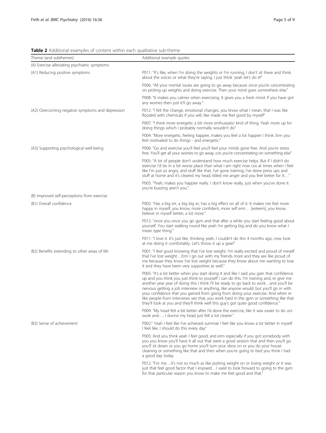<span id="page-5-0"></span>Table 2 Additional examples of content within each qualitative sub-theme

| Theme (and subthemes)                            | Additional example quotes                                                                                                                                                                                                                                                                                                                                                                                                                                                                                                                                                                                                                |
|--------------------------------------------------|------------------------------------------------------------------------------------------------------------------------------------------------------------------------------------------------------------------------------------------------------------------------------------------------------------------------------------------------------------------------------------------------------------------------------------------------------------------------------------------------------------------------------------------------------------------------------------------------------------------------------------------|
| (A) Exercise alleviating psychiatric symptoms    |                                                                                                                                                                                                                                                                                                                                                                                                                                                                                                                                                                                                                                          |
| (A1) Reducing positive symptoms                  | P011: "It's like, when I'm doing the weights or I'm running, I don't sit there and think<br>about the voices or what they're saying, I just think 'yeah let's do it!"                                                                                                                                                                                                                                                                                                                                                                                                                                                                    |
|                                                  | P006: "All your mental issues are going to go away because once you're concentrating<br>on picking up weights and doing exercise. Then your mind goes somewhere else."                                                                                                                                                                                                                                                                                                                                                                                                                                                                   |
|                                                  | P008: "It makes you calmer when exercising. It gives you a fresh mind. If you have got<br>any worries then just it'll go away."                                                                                                                                                                                                                                                                                                                                                                                                                                                                                                          |
| (A2) Overcoming negative symptoms and depression | P012: "I felt the change, emotional changes, you know what I mean, that I was like<br>flooded with chemicals if you will, like made me feel good by myself"                                                                                                                                                                                                                                                                                                                                                                                                                                                                              |
|                                                  | P007: "I think more energetic a bit more enthusiastic kind of thing. Yeah more up for<br>doing things which I probably normally wouldn't do"                                                                                                                                                                                                                                                                                                                                                                                                                                                                                             |
|                                                  | P004: "More energetic, feeling happier, makes you feel a lot happier I think. Erm you<br>feel motivated to do things - and energetic."                                                                                                                                                                                                                                                                                                                                                                                                                                                                                                   |
| (A3) Supporting psychological well-being         | P006: "Go and exercise you'll feel you'll feel your minds gone free. And you're stress<br>free. You'll get all your worries to go away, cos you're concentrating on something else"                                                                                                                                                                                                                                                                                                                                                                                                                                                      |
|                                                  | P005: "A lot of people don't understand how much exercise helps. But if I didn't do<br>exercise I'd be in a lot worse place than what I am right now cos at times when I feel<br>like I'm just so angry, and stuff like that, I've gone training, I've done press ups and<br>stuff at home and it's cleared my head, killed me anger and you feel better for it"                                                                                                                                                                                                                                                                         |
|                                                  | P003: "Yeah, makes you happier really. I don't know really, just when you've done it<br>you're buzzing aren't you."                                                                                                                                                                                                                                                                                                                                                                                                                                                                                                                      |
| (B) Improved self-perceptions from exercise      |                                                                                                                                                                                                                                                                                                                                                                                                                                                                                                                                                                                                                                          |
| (B1) Overall confidence                          | P002: "Has a big err, a big big er, has a big effect on all of it. It makes me feel more<br>happy in myself, you know, more confident, more self erm [esteem], you know,<br>believe in myself better, a lot more."                                                                                                                                                                                                                                                                                                                                                                                                                       |
|                                                  | P012: "once you once you go gym and that after a while you start feeling good about<br>yourself. You start walking round like yeah I'm getting big and do you know what I<br>mean type thing."                                                                                                                                                                                                                                                                                                                                                                                                                                           |
|                                                  | P011: "I love it. It's just like, thinking yeah, I couldn't do this 4 months ago, now look<br>at me doing it comfortably. Let's throw it up a gear!"                                                                                                                                                                                                                                                                                                                                                                                                                                                                                     |
| (B2) Benefits extending to other areas of life   | P001: "I feel good knowing that I've lost weight. I'm really excited and proud of meself<br>that I've lost weightErm I go out with my friends more and they are like proud of<br>me because they know I've lost weight because they know about me wanting to lose<br>it and they have been very supportive as well."                                                                                                                                                                                                                                                                                                                     |
|                                                  | P005: "it's a lot better when you start doing it and like I said you gain that confidence<br>up and you think you just think to yourself I can do this. I'm training and, er give me<br>another year year of doing this I think I'll be ready to go back to workand you'll be<br>nervous getting a job interview or anything, like anyone would, but you'll go in with<br>your confidence that you gained from going from doing your exercise. And when er<br>like people from interviews see that, you work hard in the gym or something like that<br>they'll look at you and they'll think well this guy's got quite good confidence." |
|                                                  | P009: "My head felt a bit better after I'd done the exercise, like it was easier to do uni<br>work and I dunno my head just felt a lot clearer."                                                                                                                                                                                                                                                                                                                                                                                                                                                                                         |
| (B3) Sense of achievement                        | P002:" Yeah I feel like I've achieved summat I feel like you know a lot better in myself<br>I feel like, I should do this every day"                                                                                                                                                                                                                                                                                                                                                                                                                                                                                                     |
|                                                  | P005: And you think yeah I feel good, and erm especially if you got somebody with<br>you you know you'll have it all out that were a good session that and then you'll go<br>you'll sit down or you go home you'll turn your xbox on or you do your house<br>cleaning or something like that and then when you're going to bed you think I had<br>a good day today                                                                                                                                                                                                                                                                       |
|                                                  | P012: "For meit's not so much as like putting weight on or losing weight or it was<br>just that feel good factor that I enjoyedI used to look forward to going to the gym<br>for that particular reason you know to make me feel good and that."                                                                                                                                                                                                                                                                                                                                                                                         |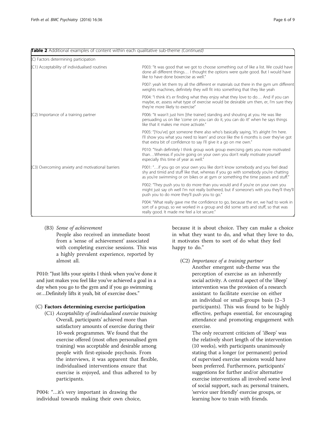# Table 2 Additional examples of content within each qualitative sub-theme (Continued)

| (C) Factors determining participation             |                                                                                                                                                                                                                                                        |
|---------------------------------------------------|--------------------------------------------------------------------------------------------------------------------------------------------------------------------------------------------------------------------------------------------------------|
| (C1) Acceptability of individualised routines     | P003: "It was good that we got to choose something out of like a list. We could have<br>done all different things I thought the options were quite good. But I would have<br>like to have done boxercise as well."                                     |
|                                                   | P007: yeah let them try all the different er materials out there in the gym um different<br>weights machines, definitely they will fit into something that they like yeah                                                                              |
|                                                   | P004: "I think it's er finding what they enjoy what they love to do And if you can<br>maybe, er, assess what type of exercise would be desirable um then, er, I'm sure they<br>they're more likely to exercise"                                        |
| (C2) Importance of a training partner             | P006: "It wasn't just him [the trainer] standing and shouting at you. He was like<br>persuading us on like 'come on you can do it, you can do it!' when he says things<br>like that it makes me more activate."                                        |
|                                                   | P005: "[You've] got someone there also who's basically saying, 'it's alright I'm here.<br>I'll show you what you need to learn' and once like the 6 months is over they've got<br>that extra bit of confidence to say I'll give it a go on me own."    |
|                                                   | P010: "Yeah definitely I think group work group exercising gets you more motivated<br>thanWhereas if you're going on your own you don't really motivate yourself<br>especially this time of year as well."                                             |
| (C3) Overcoming anxiety and motivational barriers | P001: "if you go on your own you like don't know somebody and you feel dead<br>shy and timid and stuff like that, whereas if you go with somebody you're chatting<br>as you're swimming or on bikes or at gym or something the time passes and stuff." |
|                                                   | P002: "They push you to do more than you would and if you're on your own you<br>might just say oh well I'm not really bothered, but if someone's with you they'll they'll<br>push you to do more they'll push you to go."                              |
|                                                   | P004: "What really gave me the confidence to go, because the err, we had to work in<br>sort of a group, so we worked in a group and did some sets and stuff, so that was<br>really good. It made me feel a lot secure."                                |

# (B3) Sense of achievement

People also received an immediate boost from a 'sense of achievement' associated with completing exercise sessions. This was a highly prevalent experience, reported by almost all.

P010: "Just lifts your spirits I think when you've done it and just makes you feel like you've achieved a goal in a day when you go to the gym and if you go swimming or…Definitely lifts it yeah, bit of exercise does."

# (C) Factors determining exercise participation

(C1) Acceptability of individualised exercise training Overall, participants' achieved more than satisfactory amounts of exercise during their 10-week programmes. We found that the exercise offered (most often personalised gym training) was acceptable and desirable among people with first-episode psychosis. From the interviews, it was apparent that flexible, individualised interventions ensure that exercise is enjoyed, and thus adhered to by participants.

P004: "…it's very important in drawing the individual towards making their own choice, because it is about choice. They can make a choice in what they want to do, and what they love to do, it motivates them to sort of do what they feel happy to do."

# (C2) Importance of a training partner

Another emergent sub-theme was the perception of exercise as an inherently social activity. A central aspect of the 'iBeep' intervention was the provision of a research assistant to facilitate exercise on either an individual or small-groups basis (2–3 participants). This was found to be highly effective, perhaps essential, for encouraging attendance and promoting engagement with exercise.

The only recurrent criticism of 'iBeep' was the relatively short length of the intervention (10 weeks), with participants unanimously stating that a longer (or permanent) period of supervised exercise sessions would have been preferred. Furthermore, participants' suggestions for further and/or alternative exercise interventions all involved some level of social support, such as; personal trainers, 'service user friendly' exercise groups, or learning how to train with friends.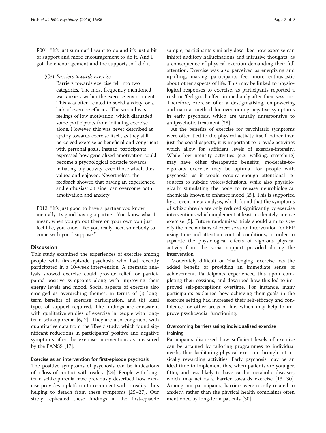P001: "It's just summat' I want to do and it's just a bit of support and more encouragement to do it. And I got the encouragement and the support, so I did it.

(C3) Barriers towards exercise

Barriers towards exercise fell into two categories. The most frequently mentioned was anxiety within the exercise environment. This was often related to social anxiety, or a lack of exercise efficacy. The second was feelings of low motivation, which dissuaded some participants from initiating exercise alone. However, this was never described as apathy towards exercise itself, as they still perceived exercise as beneficial and congruent with personal goals. Instead, participants expressed how generalized amotivation could become a psychological obstacle towards initiating any activity, even those which they valued and enjoyed. Nevertheless, the feedback showed that having an experienced and enthusiastic trainer can overcome both amotivation and anxiety:

P012: "It's just good to have a partner you know mentally it's good having a partner. You know what I mean; when you go out there on your own you just feel like, you know, like you really need somebody to come with you I suppose."

# **Discussion**

This study examined the experiences of exercise among people with first-episode psychosis who had recently participated in a 10-week intervention. A thematic analysis showed exercise could provide relief for participants' positive symptoms along with improving their energy levels and mood. Social aspects of exercise also emerged as overarching themes, in terms of (i) longterm benefits of exercise participation, and (ii) ideal types of support required. The findings are consistent with qualitative studies of exercise in people with longterm schizophrenia [\[6, 7\]](#page-9-0). They are also congruent with quantitative data from the 'iBeep' study, which found significant reductions in participants' positive and negative symptoms after the exercise intervention, as measured by the PANSS [[17](#page-9-0)].

#### Exercise as an intervention for first-episode psychosis

The positive symptoms of psychosis can be indications of a 'loss of contact with reality' [[24\]](#page-9-0). People with longterm schizophrenia have previously described how exercise provides a platform to reconnect with a reality, thus helping to detach from these symptoms [[25](#page-9-0)–[27\]](#page-9-0). Our study replicated these findings in the first-episode sample; participants similarly described how exercise can inhibit auditory hallucinations and intrusive thoughts, as a consequence of physical exertion demanding their full attention. Exercise was also perceived as energizing and uplifting, making participants feel more enthusiastic about other aspects of life. This may be linked to physiological responses to exercise, as participants reported a rush or 'feel good' effect immediately after their sessions. Therefore, exercise offer a destigmatising, empowering and natural method for overcoming negative symptoms in early psychosis, which are usually unresponsive to antipsychotic treatment [[28](#page-9-0)].

As the benefits of exercise for psychiatric symptoms were often tied to the physical activity itself, rather than just the social aspects, it is important to provide activities which allow for sufficient levels of exercise-intensity. While low-intensity activities (e.g. walking, stretching) may have other therapeutic benefits, moderate-tovigorous exercise may be optimal for people with psychosis, as it would occupy enough attentional resources to subdue voices/delusions, while also physiologically stimulating the body to release neurobiological chemicals known to enhance mood [[29](#page-9-0)]. This is supported by a recent meta-analysis, which found that the symptoms of schizophrenia are only reduced significantly by exercise interventions which implement at least moderately intense exercise [\[5](#page-9-0)]. Future randomised trials should aim to specify the mechanisms of exercise as an intervention for FEP using time-and-attention control conditions, in order to separate the physiological effects of vigorous physical activity from the social support provided during the intervention.

Moderately difficult or 'challenging' exercise has the added benefit of providing an immediate sense of achievement. Participants experienced this upon completing their sessions, and described how this led to improved self-perceptions overtime. For instance, many participants explained how achieving their goals in the exercise setting had increased their self-efficacy and confidence for other areas of life, which may help to improve psychosocial functioning.

# Overcoming barriers using individualised exercise training

Participants discussed how sufficient levels of exercise can be attained by tailoring programmes to individual needs, thus facilitating physical exertion through intrinsically rewarding activities. Early psychosis may be an ideal time to implement this, when patients are younger, fitter, and less likely to have cardio-metabolic diseases, which may act as a barrier towards exercise [\[13](#page-9-0), [30](#page-9-0)]. Among our participants, barriers were mostly related to anxiety, rather than the physical health complaints often mentioned by long-term patients [\[30\]](#page-9-0).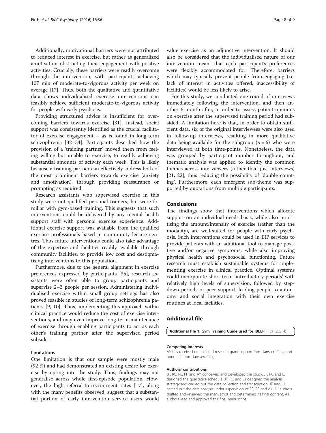<span id="page-8-0"></span>Additionally, motivational barriers were not attributed to reduced interest in exercise, but rather as generalized amotivation obstructing their engagement with positive activities. Crucially, these barriers were readily overcome through the intervention, with participants achieving 107 min of moderate-to-vigorous activity per week on average [[17\]](#page-9-0). Thus, both the qualitative and quantitative data shows individualised exercise interventions can feasibly achieve sufficient moderate-to-vigorous activity for people with early psychosis.

Providing structured advice is insufficient for overcoming barriers towards exercise [\[31](#page-9-0)]. Instead, social support was consistently identified as the crucial facilitator of exercise engagement – as is found in long-term schizophrenia [[32](#page-9-0)–[34](#page-9-0)]. Participants described how the provision of a 'training partner' moved them from feeling willing but unable to exercise, to readily achieving substantial amounts of activity each week. This is likely because a training partner can effectively address both of the most prominent barriers towards exercise (anxiety and amotivation), through providing reassurance or prompting as required.

Research assistants who supervised exercise in this study were not qualified personal trainers, but were familiar with gym-based training. This suggests that such interventions could be delivered by any mental health support staff with personal exercise experience. Additional exercise support was available from the qualified exercise professionals based in community leisure centres. Thus future interventions could also take advantage of the expertise and facilities readily available through community facilities, to provide low cost and destigmatising interventions to this population.

Furthermore, due to the general alignment in exercise preferences expressed by participants [[35\]](#page-9-0), research assistants were often able to group participants and supervise 2–3 people per session. Administering individualised exercise within small group settings has also proved feasible in studies of long-term schizophrenia patients [\[9](#page-9-0), [10](#page-9-0)]. Thus, implementing this approach within clinical practice would reduce the cost of exercise interventions, and may even improve long-term maintenance of exercise through enabling participants to act as each other's training partner after the supervised period subsides.

#### Limitations

One limitation is that our sample were mostly male (92 %) and had demonstrated an existing desire for exercise by opting into the study. Thus, findings may not generalise across whole first-episode population. However, the high referral-to-recruitment rates [\[17\]](#page-9-0), along with the many benefits observed, suggest that a substantial portion of early intervention service users would

value exercise as an adjunctive intervention. It should also be considered that the individualised nature of our intervention meant that each participant's preferences were flexibly accommodated for. Therefore, barriers which may typically prevent people from engaging (i.e. lack of interest in activities offered, inaccessibility of facilities) would be less likely to arise.

For this study, we conducted one round of interviews immediately following the intervention, and then another 6-month after, in order to assess patient opinions on exercise after the supervised training period had subsided. A limitation here is that, in order to obtain sufficient data, six of the original interviewees were also used in follow-up interviews, resulting in more qualitative data being available for the subgroup  $(n = 6)$  who were interviewed at both time-points. Nonetheless, the data was grouped by participant number throughout, and thematic analysis was applied to identify the common themes across interviewees (rather than just interviews) [[21, 22\]](#page-9-0), thus reducing the possibility of 'double counting'. Furthermore, each emergent sub-theme was supported by quotations from multiple participants.

### Conclusions

The findings show that interventions which allocate support on an individual-needs basis, while also prioritising the amount/intensity of exercise (rather than the modality), are well-suited for people with early psychosis. Such interventions could be used in EIP services to provide patients with an additional tool to manage positive and/or negative symptoms, while also improving physical health and psychosocial functioning. Future research must establish sustainable systems for implementing exercise in clinical practice. Optimal systems could incorporate short-term 'introductory periods' with relatively high levels of supervision, followed by stepdown periods or peer support, leading people to autonomy and social integration with their own exercise routines at local facilities.

## Additional file

[Additional file 1:](dx.doi.org/10.1186/s12888-016-0751-7) Gym Training Guide used for IBEEP. (PDF 355 kb)

#### Competing interests

AY has received unrestricted research grant support from Janssen Cilag and honoraria from Janssen Cilag.

#### Authors' contributions

JF, RC, RE, PF and AY conceived and developed the study. JF, RC and LJ designed the qualitative schedule. JF, RC and LJ designed the analysis strategy and carried out the data collection and transcription. JF and LJ carried out the data analysis under supervision of PF, RE and AY. All authors drafted and reviewed the manuscript and determined its final content. All authors read and approved the final manuscript.